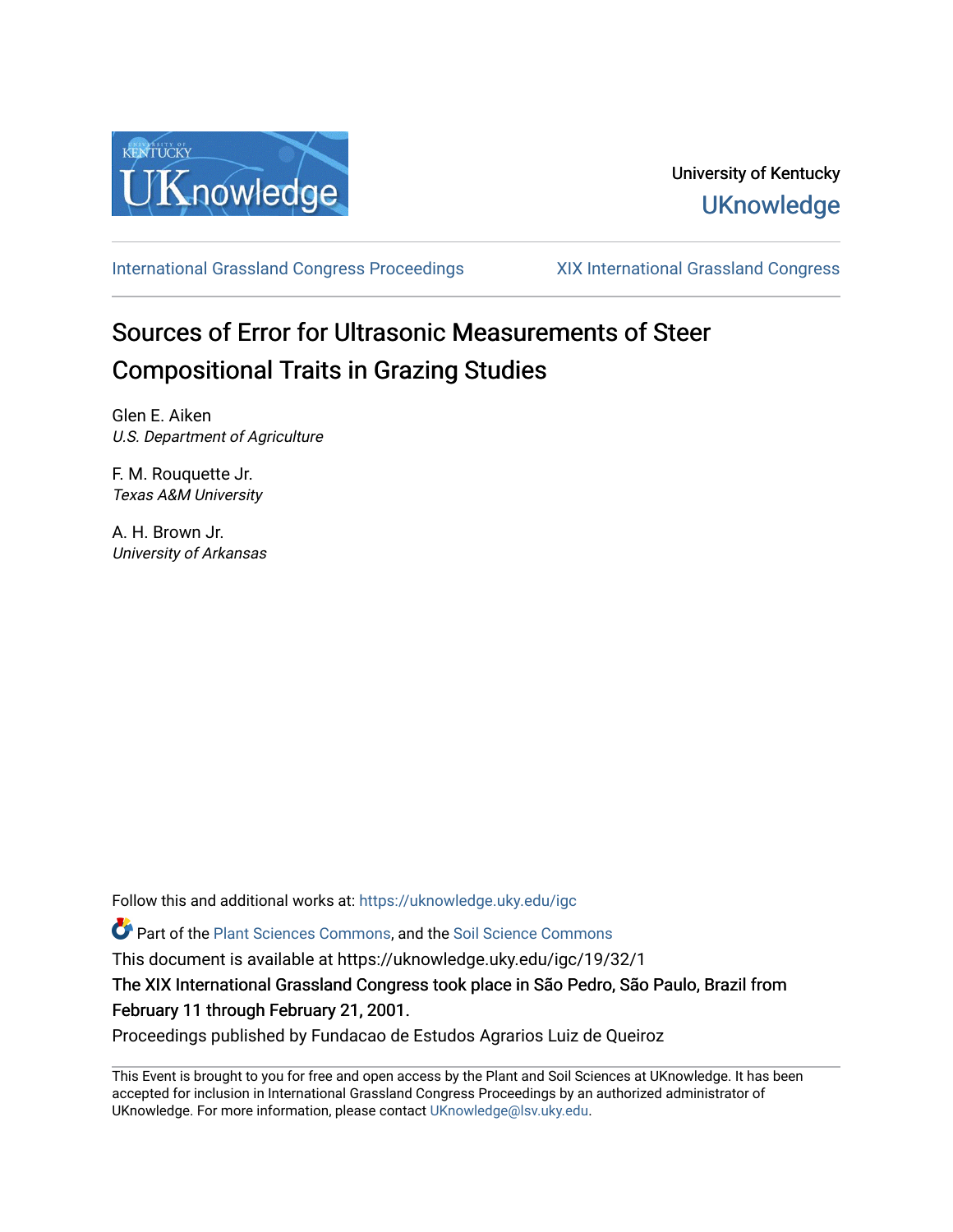

# University of Kentucky **UKnowledge**

[International Grassland Congress Proceedings](https://uknowledge.uky.edu/igc) [XIX International Grassland Congress](https://uknowledge.uky.edu/igc/19) 

# Sources of Error for Ultrasonic Measurements of Steer Compositional Traits in Grazing Studies

Glen E. Aiken U.S. Department of Agriculture

F. M. Rouquette Jr. Texas A&M University

A. H. Brown Jr. University of Arkansas

Follow this and additional works at: [https://uknowledge.uky.edu/igc](https://uknowledge.uky.edu/igc?utm_source=uknowledge.uky.edu%2Figc%2F19%2F32%2F1&utm_medium=PDF&utm_campaign=PDFCoverPages) 

Part of the [Plant Sciences Commons](http://network.bepress.com/hgg/discipline/102?utm_source=uknowledge.uky.edu%2Figc%2F19%2F32%2F1&utm_medium=PDF&utm_campaign=PDFCoverPages), and the [Soil Science Commons](http://network.bepress.com/hgg/discipline/163?utm_source=uknowledge.uky.edu%2Figc%2F19%2F32%2F1&utm_medium=PDF&utm_campaign=PDFCoverPages) 

This document is available at https://uknowledge.uky.edu/igc/19/32/1

The XIX International Grassland Congress took place in São Pedro, São Paulo, Brazil from February 11 through February 21, 2001.

Proceedings published by Fundacao de Estudos Agrarios Luiz de Queiroz

This Event is brought to you for free and open access by the Plant and Soil Sciences at UKnowledge. It has been accepted for inclusion in International Grassland Congress Proceedings by an authorized administrator of UKnowledge. For more information, please contact [UKnowledge@lsv.uky.edu](mailto:UKnowledge@lsv.uky.edu).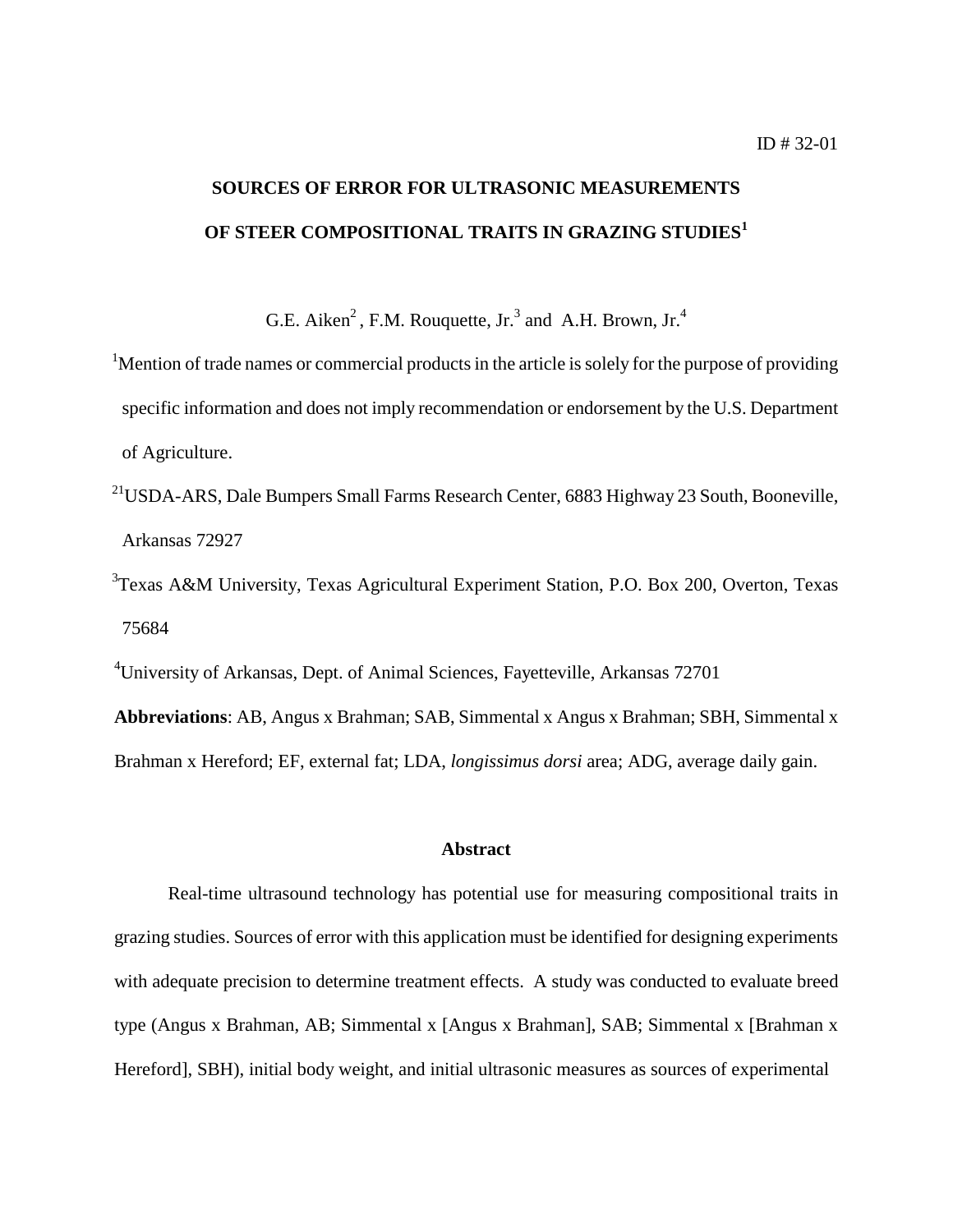# **SOURCES OF ERROR FOR ULTRASONIC MEASUREMENTS OF STEER COMPOSITIONAL TRAITS IN GRAZING STUDIES<sup>1</sup>**

G.E. Aiken<sup>2</sup>, F.M. Rouquette, Jr.<sup>3</sup> and A.H. Brown, Jr.<sup>4</sup>

<sup>1</sup>Mention of trade names or commercial products in the article is solely for the purpose of providing specific information and does not imply recommendation or endorsement by the U.S. Department of Agriculture.

- <sup>21</sup>USDA-ARS, Dale Bumpers Small Farms Research Center, 6883 Highway 23 South, Booneville, Arkansas 72927
- <sup>3</sup>Texas A&M University, Texas Agricultural Experiment Station, P.O. Box 200, Overton, Texas 75684

4 University of Arkansas, Dept. of Animal Sciences, Fayetteville, Arkansas 72701

**Abbreviations**: AB, Angus x Brahman; SAB, Simmental x Angus x Brahman; SBH, Simmental x Brahman x Hereford; EF, external fat; LDA, *longissimus dorsi* area; ADG, average daily gain.

## **Abstract**

Real-time ultrasound technology has potential use for measuring compositional traits in grazing studies. Sources of error with this application must be identified for designing experiments with adequate precision to determine treatment effects. A study was conducted to evaluate breed type (Angus x Brahman, AB; Simmental x [Angus x Brahman], SAB; Simmental x [Brahman x Hereford], SBH), initial body weight, and initial ultrasonic measures as sources of experimental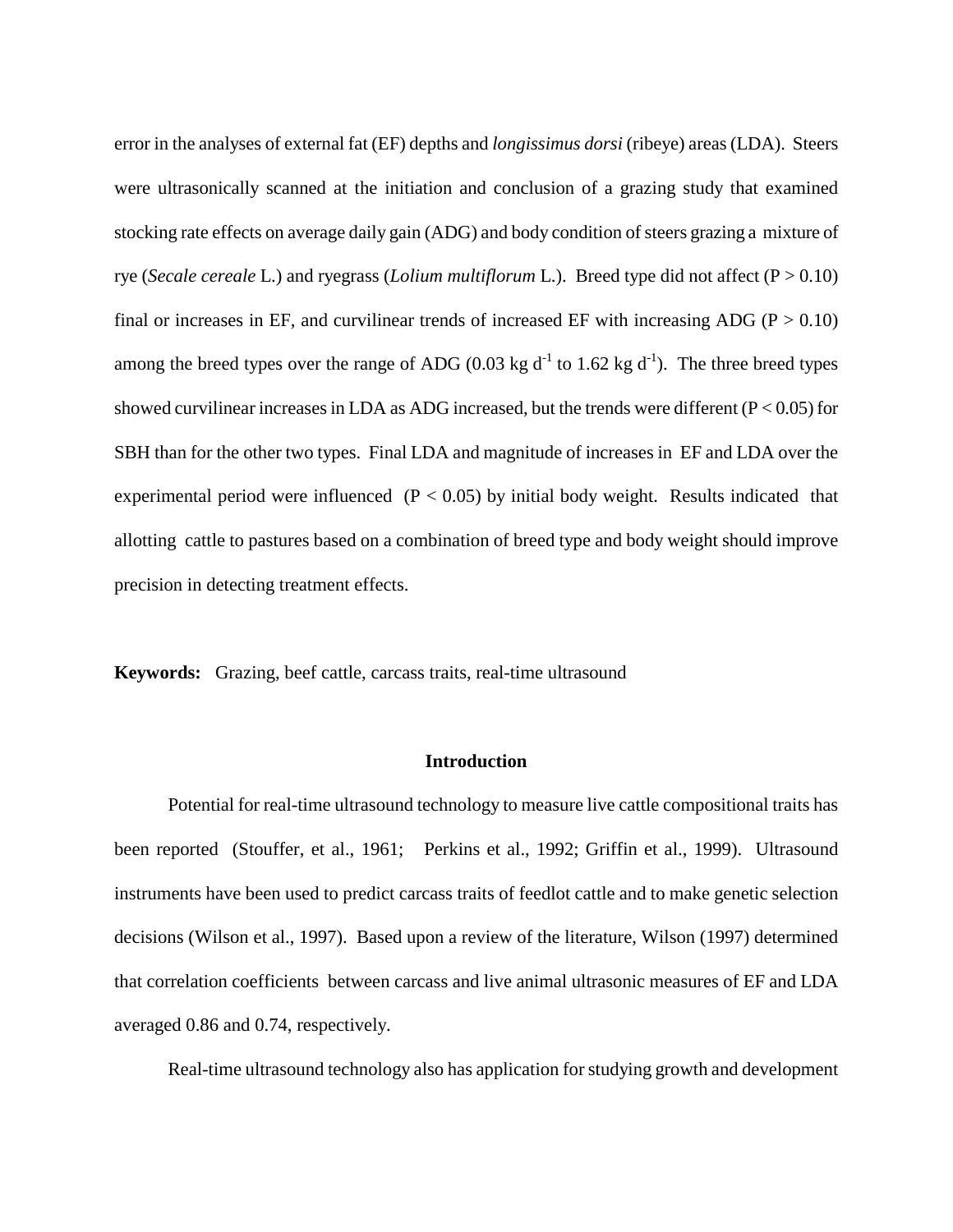error in the analyses of external fat (EF) depths and *longissimus dorsi* (ribeye) areas (LDA). Steers were ultrasonically scanned at the initiation and conclusion of a grazing study that examined stocking rate effects on average daily gain (ADG) and body condition of steers grazing a mixture of rye (*Secale cereale* L.) and ryegrass (*Lolium multiflorum* L.). Breed type did not affect (P > 0.10) final or increases in EF, and curvilinear trends of increased EF with increasing ADG ( $P > 0.10$ ) among the breed types over the range of ADG (0.03 kg  $d^{-1}$  to 1.62 kg  $d^{-1}$ ). The three breed types showed curvilinear increases in LDA as ADG increased, but the trends were different  $(P < 0.05)$  for SBH than for the other two types. Final LDA and magnitude of increases in EF and LDA over the experimental period were influenced  $(P < 0.05)$  by initial body weight. Results indicated that allotting cattle to pastures based on a combination of breed type and body weight should improve precision in detecting treatment effects.

**Keywords:** Grazing, beef cattle, carcass traits, real-time ultrasound

### **Introduction**

Potential for real-time ultrasound technology to measure live cattle compositional traits has been reported (Stouffer, et al., 1961; Perkins et al., 1992; Griffin et al., 1999). Ultrasound instruments have been used to predict carcass traits of feedlot cattle and to make genetic selection decisions (Wilson et al., 1997). Based upon a review of the literature, Wilson (1997) determined that correlation coefficients between carcass and live animal ultrasonic measures of EF and LDA averaged 0.86 and 0.74, respectively.

Real-time ultrasound technology also has application for studying growth and development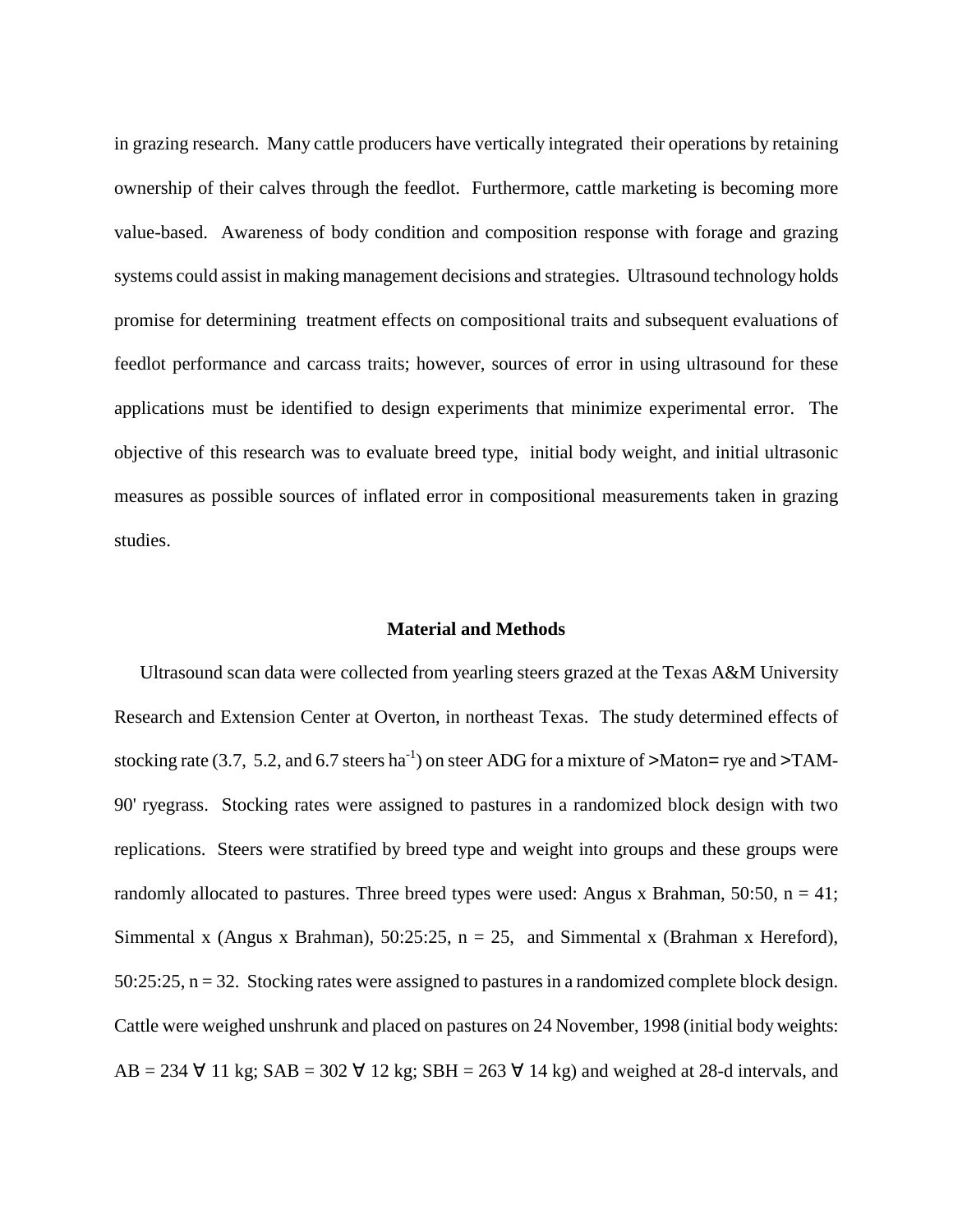in grazing research. Many cattle producers have vertically integrated their operations by retaining ownership of their calves through the feedlot. Furthermore, cattle marketing is becoming more value-based. Awareness of body condition and composition response with forage and grazing systems could assist in making management decisions and strategies. Ultrasound technology holds promise for determining treatment effects on compositional traits and subsequent evaluations of feedlot performance and carcass traits; however, sources of error in using ultrasound for these applications must be identified to design experiments that minimize experimental error. The objective of this research was to evaluate breed type, initial body weight, and initial ultrasonic measures as possible sources of inflated error in compositional measurements taken in grazing studies.

### **Material and Methods**

Ultrasound scan data were collected from yearling steers grazed at the Texas A&M University Research and Extension Center at Overton, in northeast Texas. The study determined effects of stocking rate (3.7, 5.2, and 6.7 steers ha<sup>-1</sup>) on steer ADG for a mixture of >Maton= rye and >TAM-90' ryegrass. Stocking rates were assigned to pastures in a randomized block design with two replications. Steers were stratified by breed type and weight into groups and these groups were randomly allocated to pastures. Three breed types were used: Angus x Brahman, 50:50,  $n = 41$ ; Simmental x (Angus x Brahman), 50:25:25,  $n = 25$ , and Simmental x (Brahman x Hereford), 50:25:25, n = 32. Stocking rates were assigned to pastures in a randomized complete block design. Cattle were weighed unshrunk and placed on pastures on 24 November, 1998 (initial body weights: AB = 234  $\forall$  11 kg; SAB = 302  $\forall$  12 kg; SBH = 263  $\forall$  14 kg) and weighed at 28-d intervals, and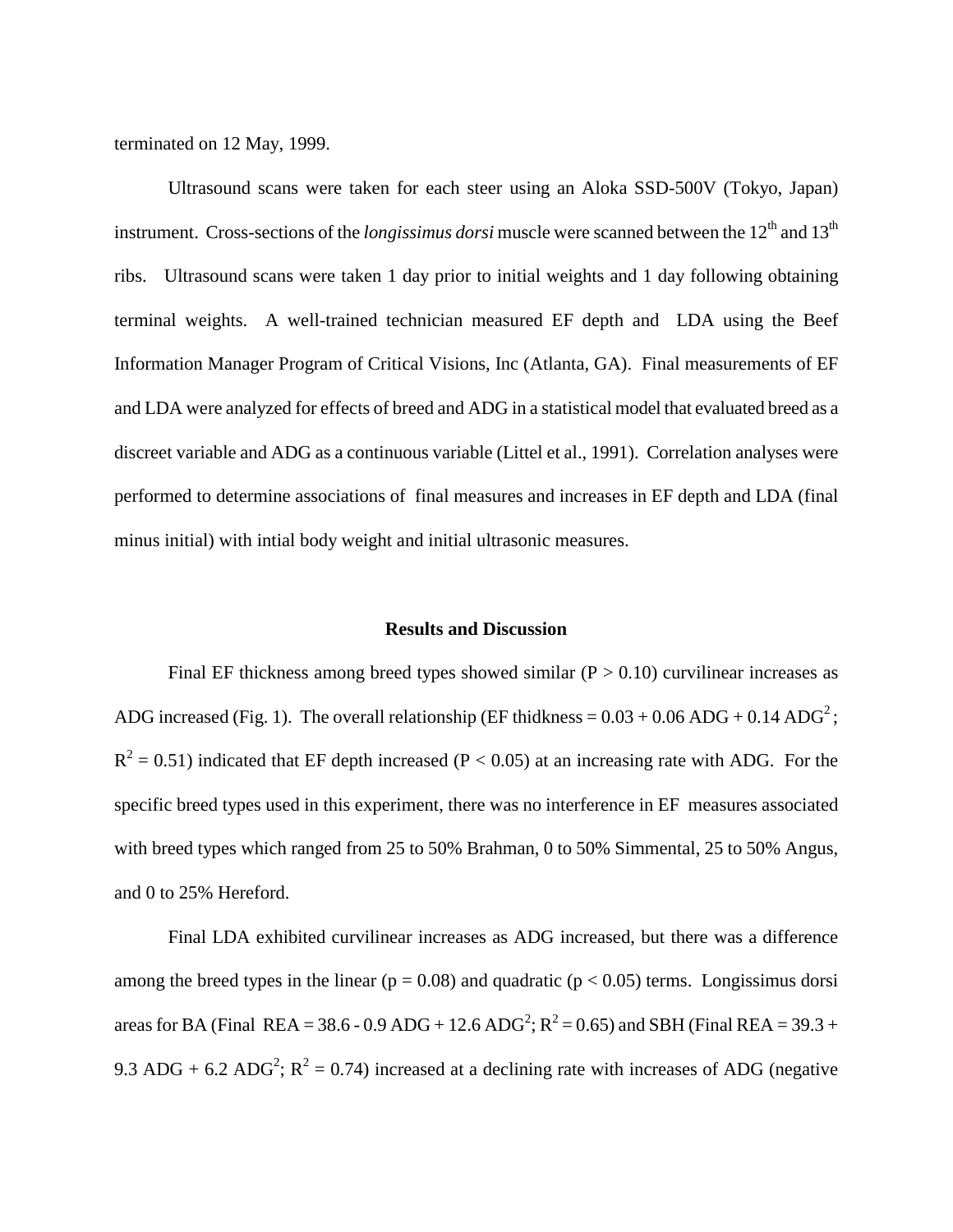terminated on 12 May, 1999.

Ultrasound scans were taken for each steer using an Aloka SSD-500V (Tokyo, Japan) instrument. Cross-sections of the *longissimus dorsi* muscle were scanned between the 12<sup>th</sup> and 13<sup>th</sup> ribs. Ultrasound scans were taken 1 day prior to initial weights and 1 day following obtaining terminal weights. A well-trained technician measured EF depth and LDA using the Beef Information Manager Program of Critical Visions, Inc (Atlanta, GA). Final measurements of EF and LDA were analyzed for effects of breed and ADG in a statistical model that evaluated breed as a discreet variable and ADG as a continuous variable (Littel et al., 1991). Correlation analyses were performed to determine associations of final measures and increases in EF depth and LDA (final minus initial) with intial body weight and initial ultrasonic measures.

#### **Results and Discussion**

Final EF thickness among breed types showed similar  $(P > 0.10)$  curvilinear increases as ADG increased (Fig. 1). The overall relationship (EF thidkness =  $0.03 + 0.06$  ADG +  $0.14$  ADG<sup>2</sup>;  $R<sup>2</sup> = 0.51$ ) indicated that EF depth increased (P < 0.05) at an increasing rate with ADG. For the specific breed types used in this experiment, there was no interference in EF measures associated with breed types which ranged from 25 to 50% Brahman, 0 to 50% Simmental, 25 to 50% Angus, and 0 to 25% Hereford.

Final LDA exhibited curvilinear increases as ADG increased, but there was a difference among the breed types in the linear ( $p = 0.08$ ) and quadratic ( $p < 0.05$ ) terms. Longissimus dorsi areas for BA (Final REA = 38.6 - 0.9 ADG + 12.6 ADG<sup>2</sup>; R<sup>2</sup> = 0.65) and SBH (Final REA = 39.3 + 9.3 ADG + 6.2 ADG<sup>2</sup>;  $R^2 = 0.74$ ) increased at a declining rate with increases of ADG (negative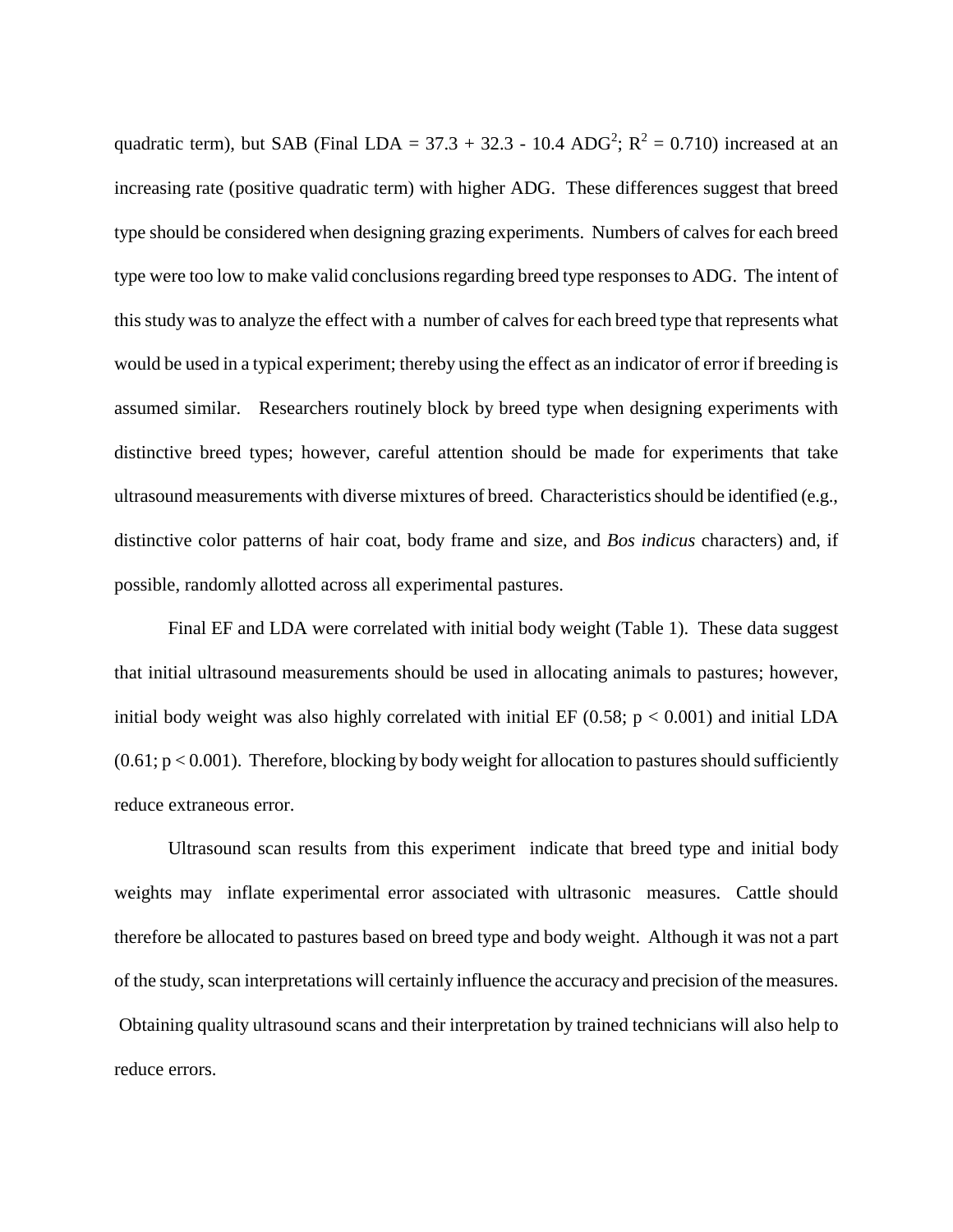quadratic term), but SAB (Final LDA = 37.3 + 32.3 - 10.4 ADG<sup>2</sup>;  $R^2 = 0.710$ ) increased at an increasing rate (positive quadratic term) with higher ADG. These differences suggest that breed type should be considered when designing grazing experiments. Numbers of calves for each breed type were too low to make valid conclusions regarding breed type responses to ADG. The intent of this study was to analyze the effect with a number of calves for each breed type that represents what would be used in a typical experiment; thereby using the effect as an indicator of error if breeding is assumed similar. Researchers routinely block by breed type when designing experiments with distinctive breed types; however, careful attention should be made for experiments that take ultrasound measurements with diverse mixtures of breed. Characteristics should be identified (e.g., distinctive color patterns of hair coat, body frame and size, and *Bos indicus* characters) and, if possible, randomly allotted across all experimental pastures.

Final EF and LDA were correlated with initial body weight (Table 1). These data suggest that initial ultrasound measurements should be used in allocating animals to pastures; however, initial body weight was also highly correlated with initial EF  $(0.58; p < 0.001)$  and initial LDA  $(0.61; p < 0.001)$ . Therefore, blocking by body weight for allocation to pastures should sufficiently reduce extraneous error.

Ultrasound scan results from this experiment indicate that breed type and initial body weights may inflate experimental error associated with ultrasonic measures. Cattle should therefore be allocated to pastures based on breed type and body weight. Although it was not a part of the study, scan interpretations will certainly influence the accuracy and precision of the measures. Obtaining quality ultrasound scans and their interpretation by trained technicians will also help to reduce errors.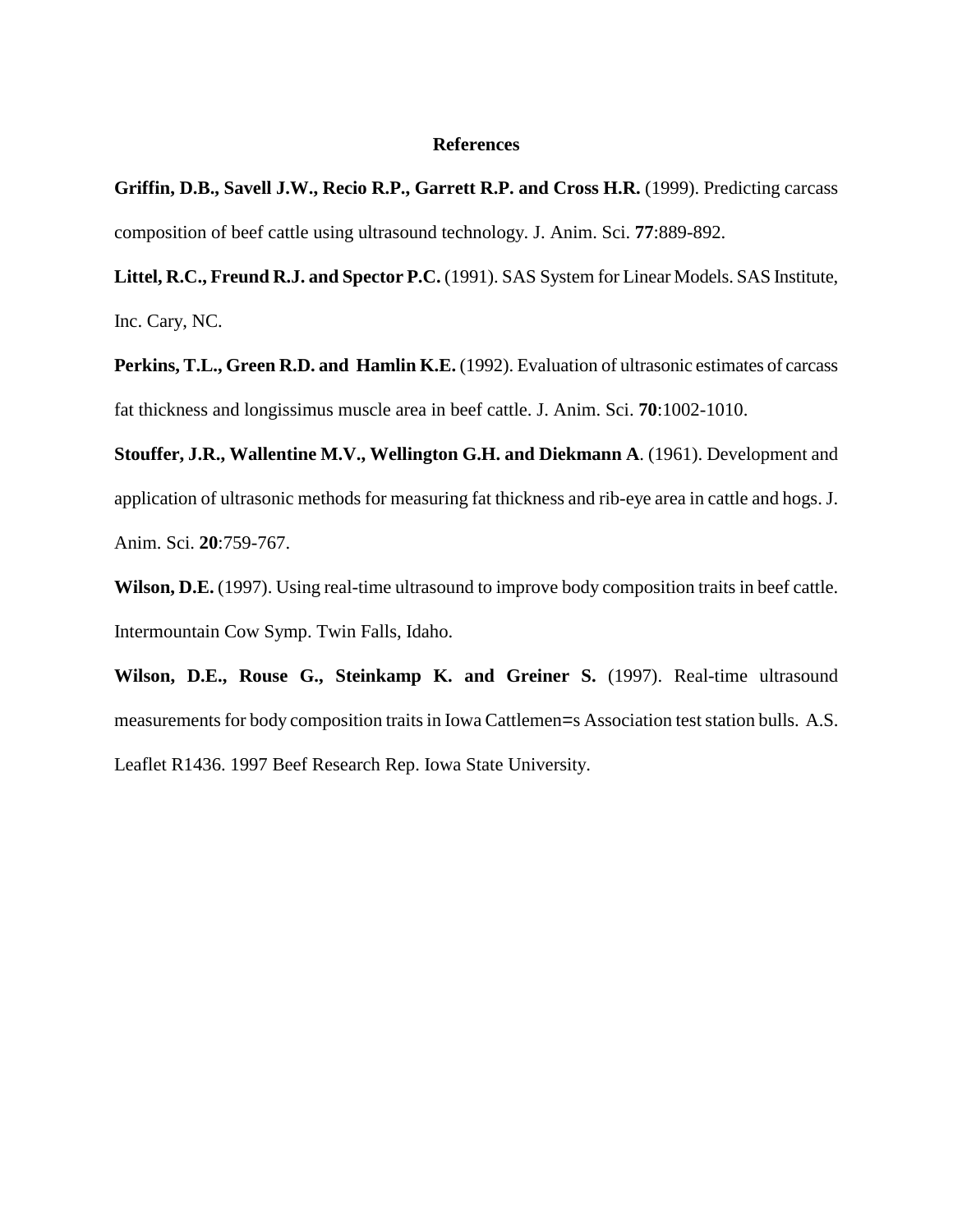#### **References**

**Griffin, D.B., Savell J.W., Recio R.P., Garrett R.P. and Cross H.R.** (1999). Predicting carcass composition of beef cattle using ultrasound technology. J. Anim. Sci. **77**:889-892.

**Littel, R.C., Freund R.J. and Spector P.C.** (1991). SAS System for Linear Models. SAS Institute, Inc. Cary, NC.

Perkins, T.L., Green R.D. and Hamlin K.E. (1992). Evaluation of ultrasonic estimates of carcass fat thickness and longissimus muscle area in beef cattle. J. Anim. Sci. **70**:1002-1010.

**Stouffer, J.R., Wallentine M.V., Wellington G.H. and Diekmann A**. (1961). Development and application of ultrasonic methods for measuring fat thickness and rib-eye area in cattle and hogs. J. Anim. Sci. **20**:759-767.

**Wilson, D.E.** (1997). Using real-time ultrasound to improve body composition traits in beef cattle. Intermountain Cow Symp. Twin Falls, Idaho.

**Wilson, D.E., Rouse G., Steinkamp K. and Greiner S.** (1997). Real-time ultrasound measurements for body composition traits in Iowa Cattlemen=s Association test station bulls. A.S. Leaflet R1436. 1997 Beef Research Rep. Iowa State University.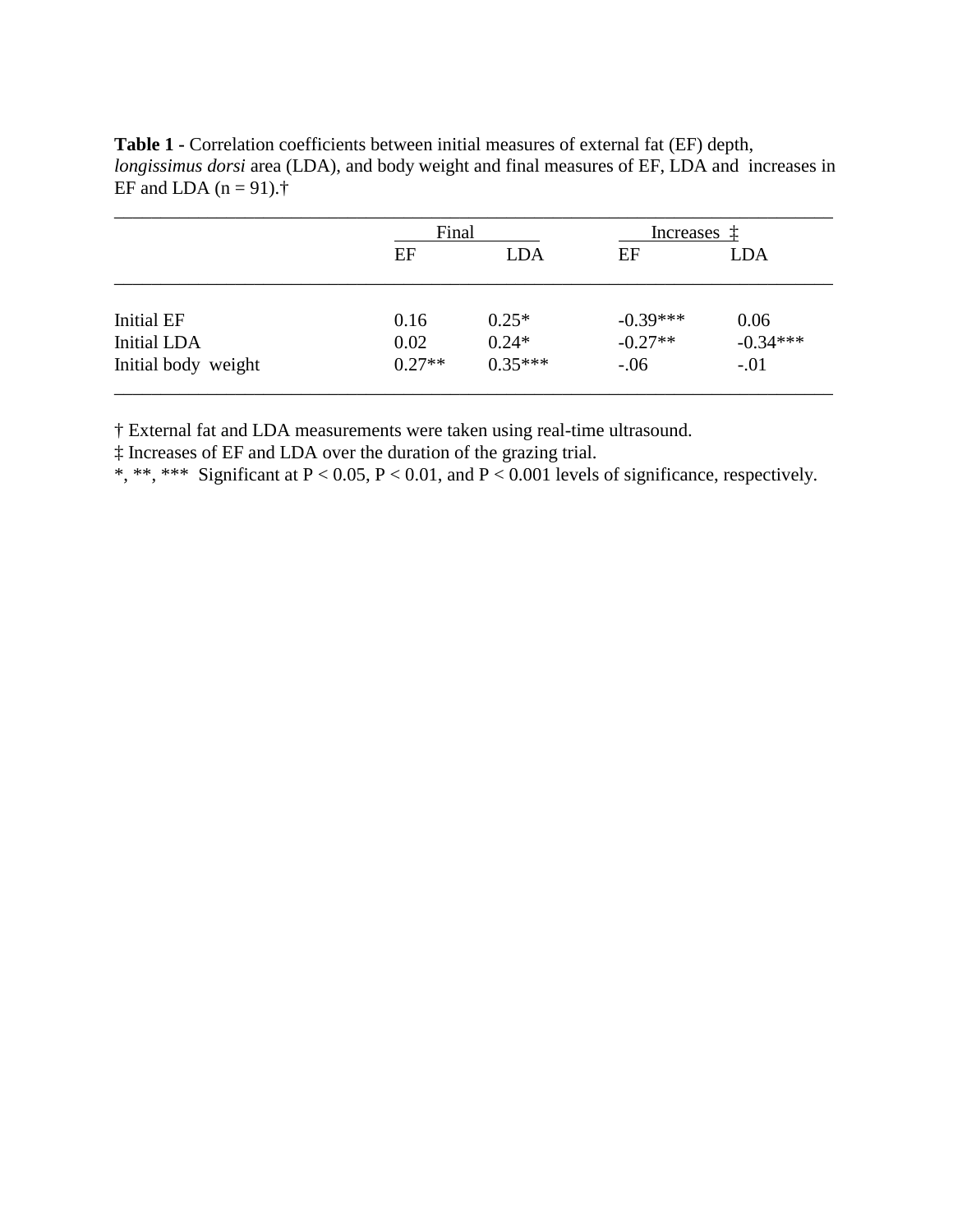**Table 1 -** Correlation coefficients between initial measures of external fat (EF) depth, *longissimus dorsi* area (LDA), and body weight and final measures of EF, LDA and increases in EF and LDA  $(n = 91)$ .<sup>†</sup>

|                     | Final    |            | Increases  |            |
|---------------------|----------|------------|------------|------------|
|                     | EF       | <b>LDA</b> | EF         | <b>LDA</b> |
| Initial EF          | 0.16     | $0.25*$    | $-0.39***$ | 0.06       |
| <b>Initial LDA</b>  | 0.02     | $0.24*$    | $-0.27**$  | $-0.34***$ |
| Initial body weight | $0.27**$ | $0.35***$  | $-0.06$    | $-.01$     |

† External fat and LDA measurements were taken using real-time ultrasound.

‡ Increases of EF and LDA over the duration of the grazing trial.

 $*, **$ ,  $***$  Significant at P < 0.05, P < 0.01, and P < 0.001 levels of significance, respectively.